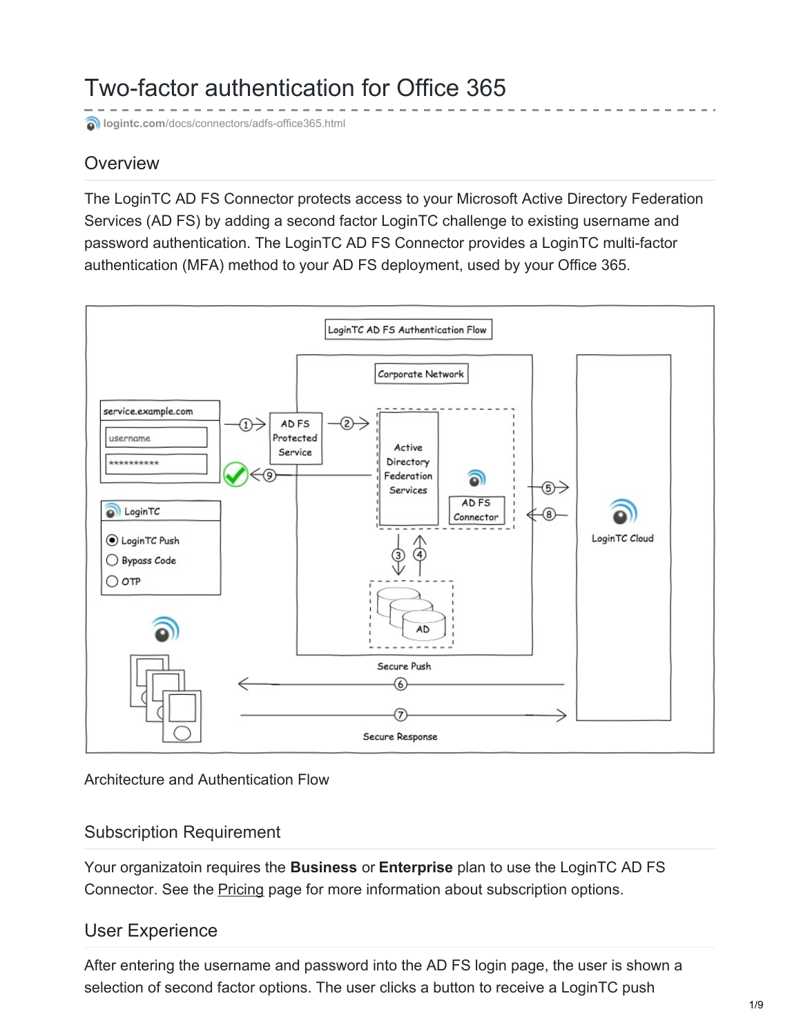# Two-factor authentication for Office 365

**b**logintc.com[/docs/connectors/adfs-office365.html](https://www.logintc.com/docs/connectors/adfs-office365.html)

# **Overview**

The LoginTC AD FS Connector protects access to your Microsoft Active Directory Federation Services (AD FS) by adding a second factor LoginTC challenge to existing username and password authentication. The LoginTC AD FS Connector provides a LoginTC multi-factor authentication (MFA) method to your AD FS deployment, used by your Office 365.



Architecture and Authentication Flow

### Subscription Requirement

Your organizatoin requires the **Business** or **Enterprise** plan to use the LoginTC AD FS Connector. See the [Pricing](https://www.logintc.com/pricing) page for more information about subscription options.

### User Experience

After entering the username and password into the AD FS login page, the user is shown a selection of second factor options. The user clicks a button to receive a LoginTC push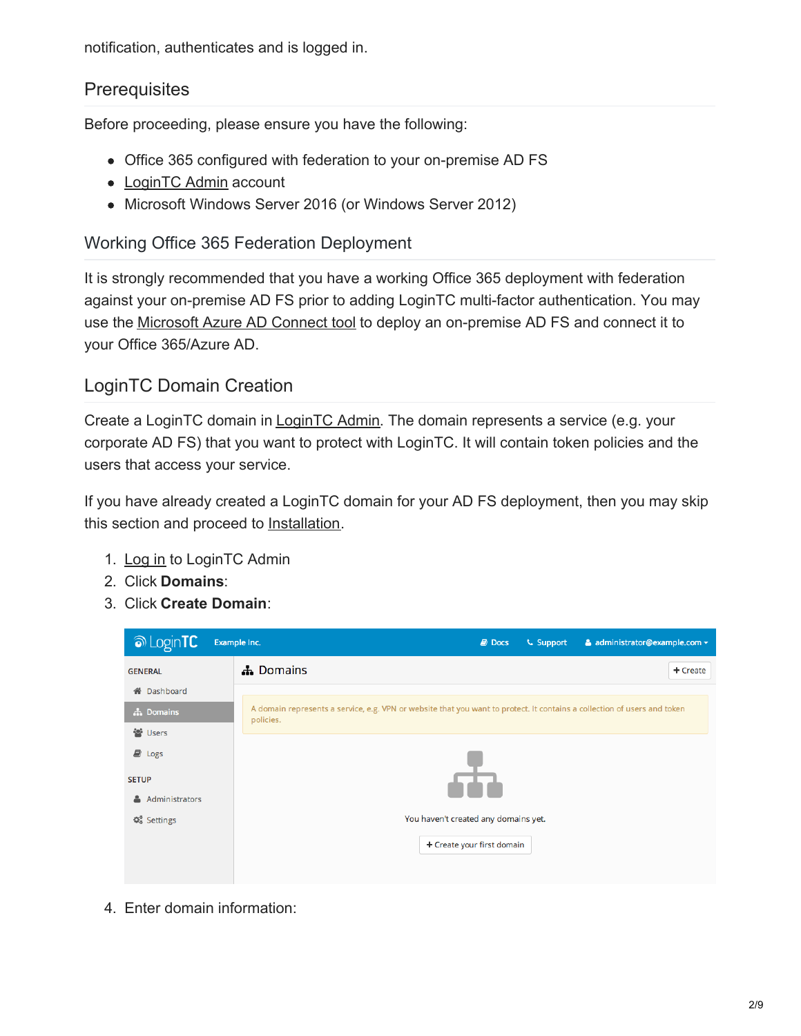notification, authenticates and is logged in.

## **Prerequisites**

Before proceeding, please ensure you have the following:

- Office 365 configured with federation to your on-premise AD FS
- [LoginTC](https://cloud.logintc.com/) Admin account
- Microsoft Windows Server 2016 (or Windows Server 2012)

## Working Office 365 Federation Deployment

It is strongly recommended that you have a working Office 365 deployment with federation against your on-premise AD FS prior to adding LoginTC multi-factor authentication. You may use the [Microsoft](https://docs.microsoft.com/en-us/azure/active-directory/connect/active-directory-aadconnect) Azure AD Connect tool to deploy an on-premise AD FS and connect it to your Office 365/Azure AD.

## LoginTC Domain Creation

Create a LoginTC domain in [LoginTC](https://cloud.logintc.com/) Admin. The domain represents a service (e.g. your corporate AD FS) that you want to protect with LoginTC. It will contain token policies and the users that access your service.

If you have already created a LoginTC domain for your AD FS deployment, then you may skip this section and proceed to [Installation](#page-2-0).

- 1. [Log](https://cloud.logintc.com/panel/login) in to LoginTC Admin
- 2. Click **Domains**:
- 3. Click **Create Domain**:

| <b>Manuform</b>                             | Example Inc.<br>$\Box$ Docs<br><b>L</b> Support<br>& administrator@example.com -                                                      |
|---------------------------------------------|---------------------------------------------------------------------------------------------------------------------------------------|
| <b>GENERAL</b>                              | <b>A</b> Domains<br>+ Create                                                                                                          |
| <b>备</b> Dashboard                          |                                                                                                                                       |
| th Domains                                  | A domain represents a service, e.g. VPN or website that you want to protect. It contains a collection of users and token<br>policies. |
| 월 Users                                     |                                                                                                                                       |
| $\Box$ Logs                                 |                                                                                                                                       |
| <b>SETUP</b>                                |                                                                                                                                       |
| Administrators<br>ᅀ                         |                                                                                                                                       |
| <b>C</b> <sub>8</sub> <sup>8</sup> Settings | You haven't created any domains yet.                                                                                                  |
|                                             | + Create your first domain                                                                                                            |
|                                             |                                                                                                                                       |

4. Enter domain information: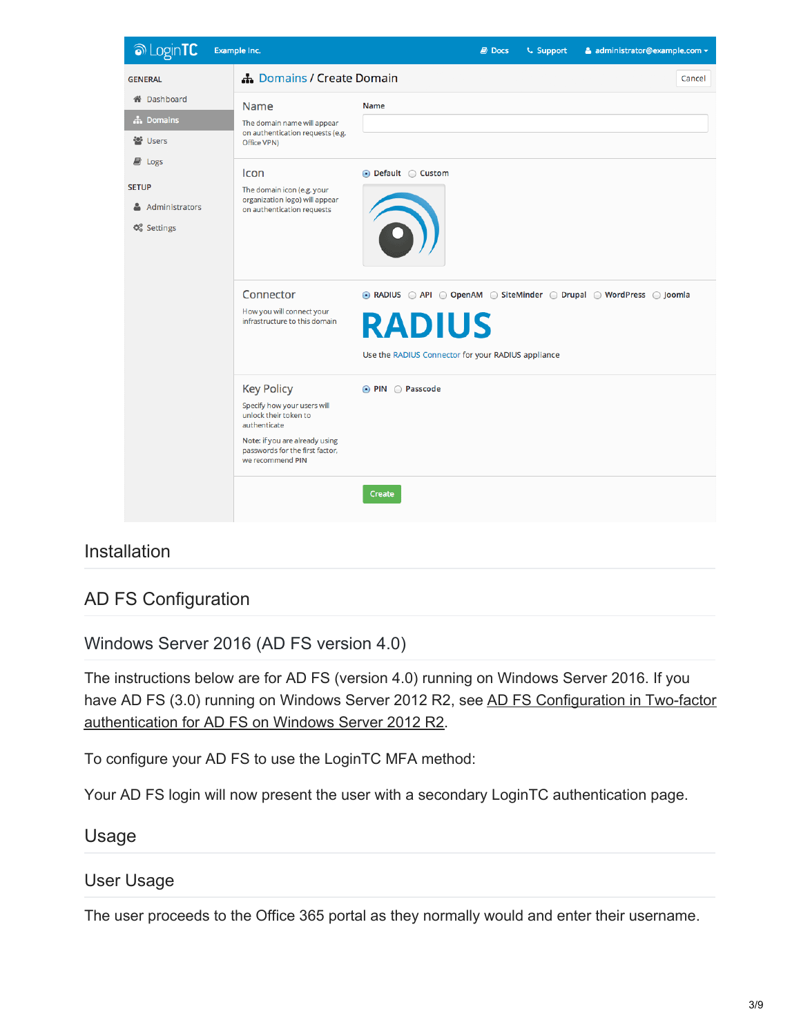

# <span id="page-2-0"></span>Installation

# AD FS Configuration

Windows Server 2016 (AD FS version 4.0)

The instructions below are for AD FS (version 4.0) running on Windows Server 2016. If you have AD FS (3.0) running on Windows Server 2012 R2, see AD FS Configuration in Two-factor [authentication](https://www.logintc.com/docs/connectors/adfs.html#ad-fs-configuration) for AD FS on Windows Server 2012 R2.

To configure your AD FS to use the LoginTC MFA method:

Your AD FS login will now present the user with a secondary LoginTC authentication page.

### Usage

### User Usage

The user proceeds to the Office 365 portal as they normally would and enter their username.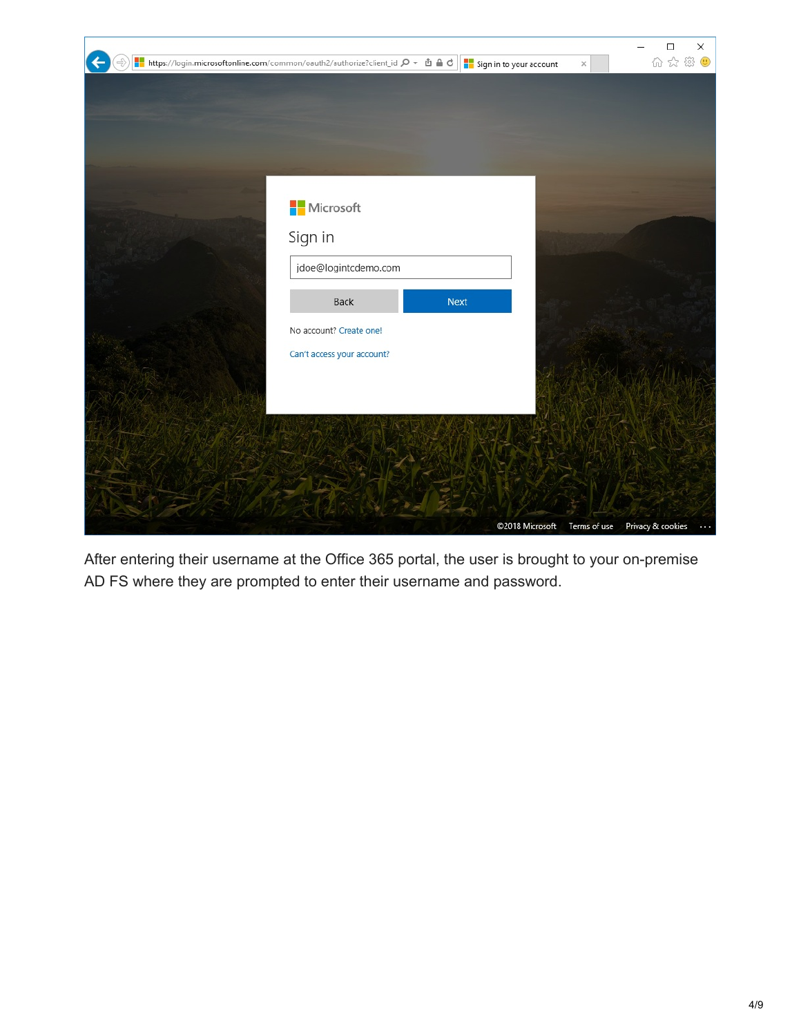

After entering their username at the Office 365 portal, the user is brought to your on-premise AD FS where they are prompted to enter their username and password.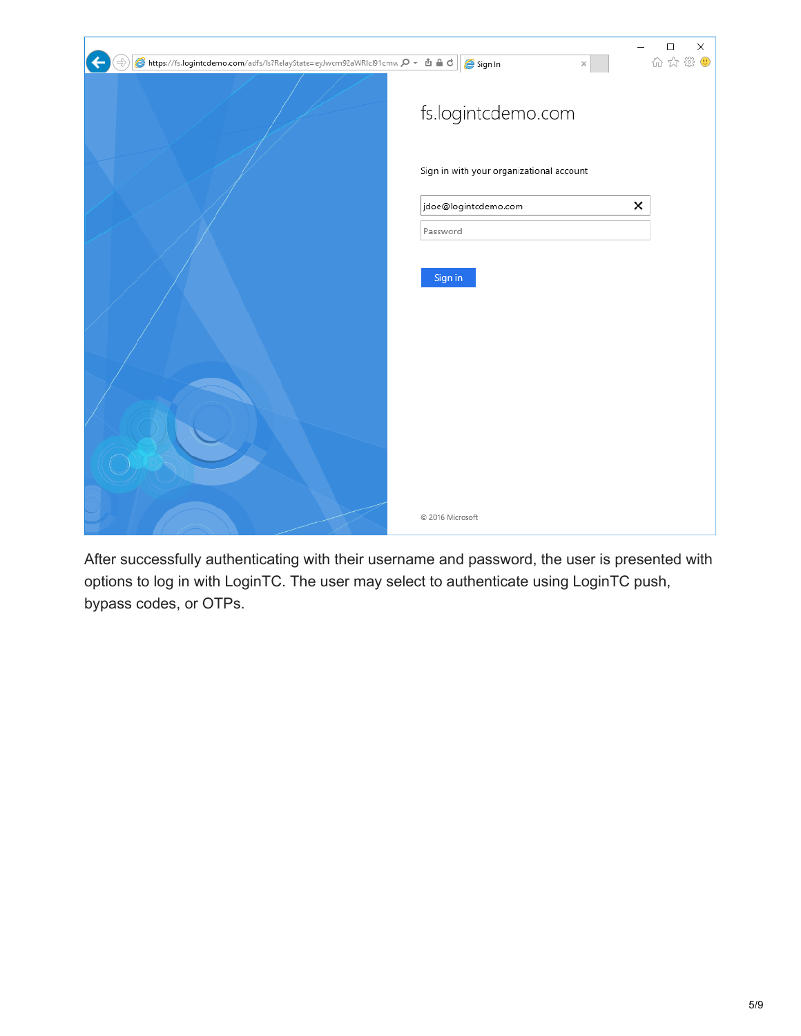| A https://fs.logintcdemo.com/adfs/ls?RelayState=eyJwcm92aWRIcl91cmw Q ▼ 由 d C | ×<br>□<br>价 ☆ 戀 ●<br>Sign In<br>×        |
|-------------------------------------------------------------------------------|------------------------------------------|
|                                                                               | fs.logintcdemo.com                       |
|                                                                               | Sign in with your organizational account |
|                                                                               | ×<br>jdoe@logintcdemo.com                |
|                                                                               | Password                                 |
|                                                                               | Sign in                                  |
|                                                                               |                                          |
|                                                                               |                                          |
|                                                                               | © 2016 Microsoft                         |

After successfully authenticating with their username and password, the user is presented with options to log in with LoginTC. The user may select to authenticate using LoginTC push, bypass codes, or OTPs.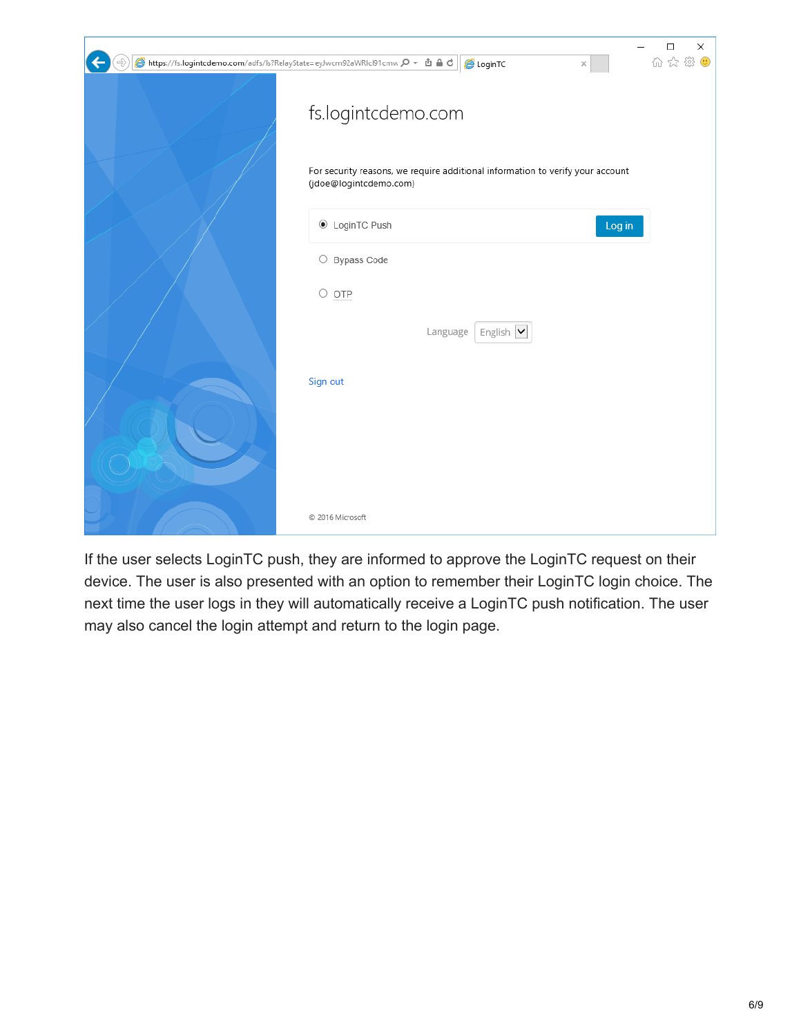| Althps://fs.logintcdemo.com/adfs/ls?RelayState=eyJwcm92aWRIcl91cmw p ▼ 由 A d   AlcoginTC<br>×            | ×<br>□<br>价 ☆ 戀 ♥ |
|----------------------------------------------------------------------------------------------------------|-------------------|
| fs.logintcdemo.com                                                                                       |                   |
| For security reasons, we require additional information to verify your account<br>(jdoe@logintcdemo.com) |                   |
| C LoginTC Push<br>Log in                                                                                 |                   |
| O Bypass Code                                                                                            |                   |
| $\circ$ otp                                                                                              |                   |
| Language<br>English Y                                                                                    |                   |
| Sign out                                                                                                 |                   |
| © 2016 Microsoft                                                                                         |                   |

If the user selects LoginTC push, they are informed to approve the LoginTC request on their device. The user is also presented with an option to remember their LoginTC login choice. The next time the user logs in they will automatically receive a LoginTC push notification. The user may also cancel the login attempt and return to the login page.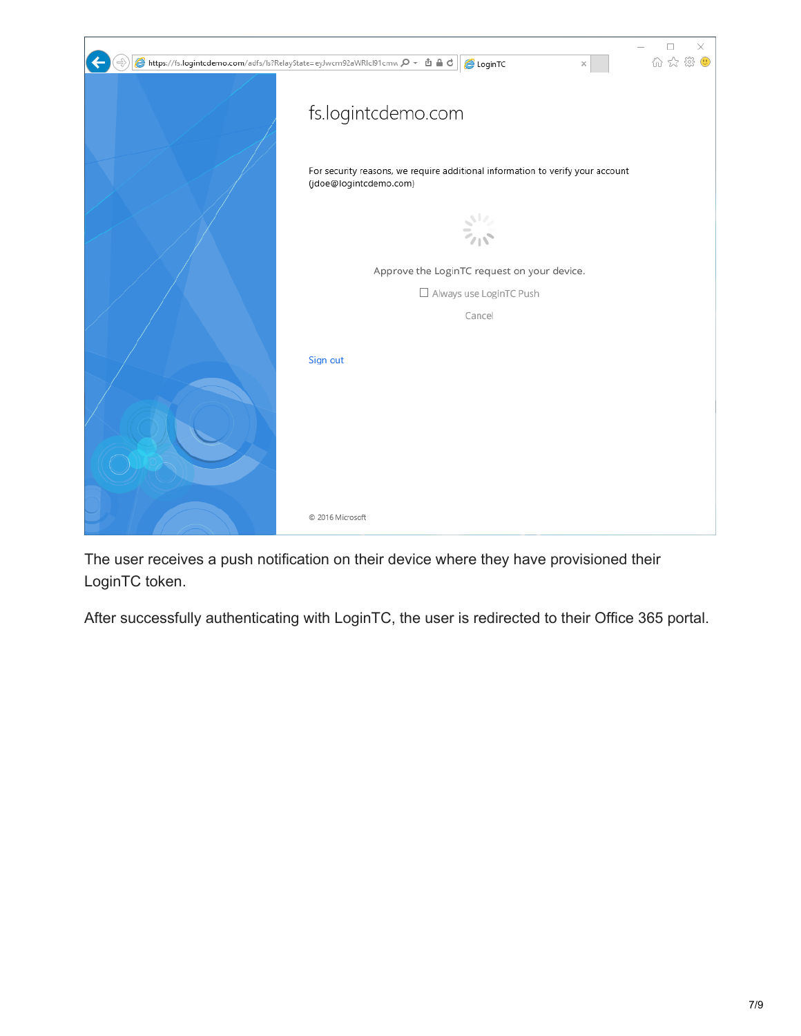| ● https://fs.logintcdemo.com/adfs/ls?RelayState=eyJwcm92aWRIcl91cmw p ▼ 由 自 d   @ LoginTC | $\times$<br>分众<br>×                                                                                      |
|-------------------------------------------------------------------------------------------|----------------------------------------------------------------------------------------------------------|
|                                                                                           | fs.logintcdemo.com                                                                                       |
|                                                                                           | For security reasons, we require additional information to verify your account<br>(jdoe@logintcdemo.com) |
|                                                                                           |                                                                                                          |
|                                                                                           | Approve the LoginTC request on your device.                                                              |
|                                                                                           | Always use LoginTC Push                                                                                  |
|                                                                                           | Cancel                                                                                                   |
|                                                                                           | Sign out                                                                                                 |
|                                                                                           |                                                                                                          |
|                                                                                           |                                                                                                          |
|                                                                                           | © 2016 Microsoft                                                                                         |

The user receives a push notification on their device where they have provisioned their LoginTC token.

After successfully authenticating with LoginTC, the user is redirected to their Office 365 portal.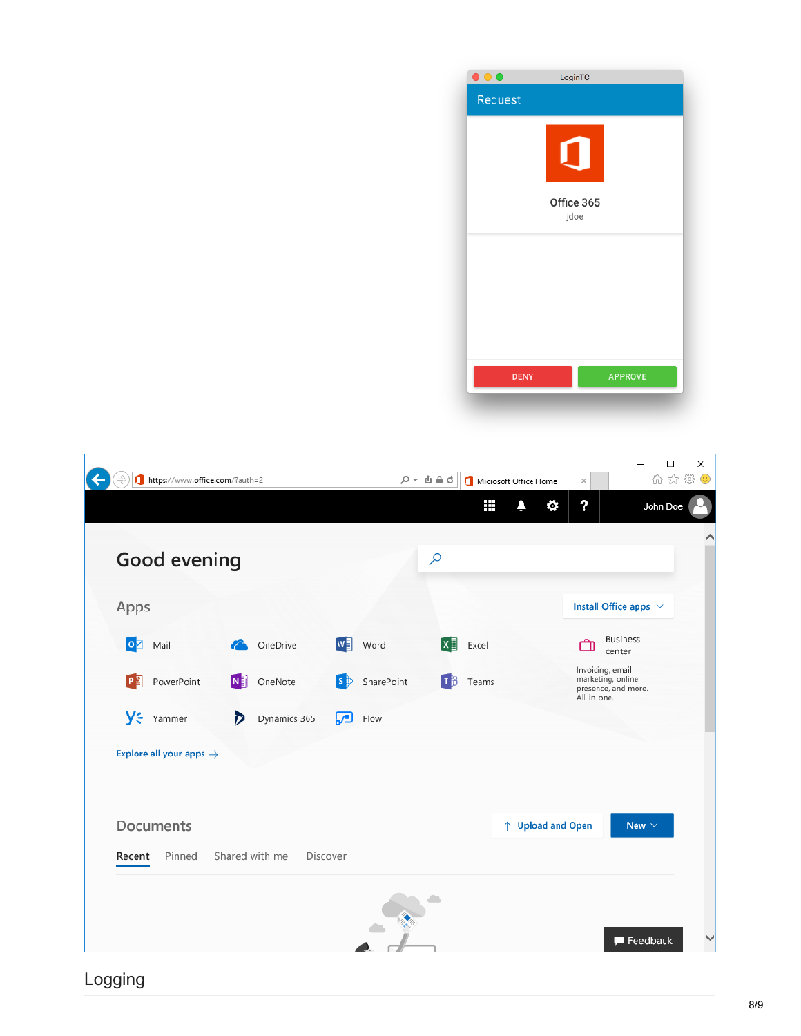| $\bullet$ $\bullet$ | LoginTC            |                |  |
|---------------------|--------------------|----------------|--|
| Request             |                    |                |  |
|                     |                    |                |  |
|                     | Office 365<br>jdoe |                |  |
|                     |                    |                |  |
|                     |                    |                |  |
|                     |                    |                |  |
| <b>DENY</b>         |                    | <b>APPROVE</b> |  |

| https://www.office.com/?auth=2<br>$\leftarrow$ |                   |                            | $D - \Delta B$ | Microsoft Office Home | $\times$                                             | $\Box$<br>$\overline{\phantom{0}}$<br>命☆ ※ ● | × |
|------------------------------------------------|-------------------|----------------------------|----------------|-----------------------|------------------------------------------------------|----------------------------------------------|---|
|                                                |                   |                            |                | ₩<br>Ą                | ?<br>Ō.                                              | John Doe                                     |   |
| Good evening                                   |                   |                            | م              |                       |                                                      |                                              |   |
| Apps                                           |                   |                            |                |                       |                                                      | Install Office apps $\vee$                   |   |
| 0 <mark>Ø</mark> Mail                          | OneDrive          | w∃<br>Word                 | lx ≣l          | Excel                 |                                                      | <b>Business</b><br>center                    |   |
| P <sup>2</sup><br>PowerPoint                   | N<br>OneNote      | $\mathbf{s}$<br>SharePoint | ΠB             | Teams                 | Invoicing, email<br>marketing, online<br>All-in-one. | presence, and more.                          |   |
| $y$ Yammer                                     | M<br>Dynamics 365 | لور]<br>Flow               |                |                       |                                                      |                                              |   |
| Explore all your apps $\rightarrow$            |                   |                            |                |                       |                                                      |                                              |   |
| Documents                                      |                   |                            |                |                       | $\overline{\uparrow}$ Upload and Open                | New $\vee$                                   |   |
| Pinned<br>Recent                               | Shared with me    | Discover                   |                |                       |                                                      |                                              |   |
|                                                |                   |                            |                |                       |                                                      |                                              |   |
|                                                |                   |                            |                |                       |                                                      | Feedback                                     |   |

Logging